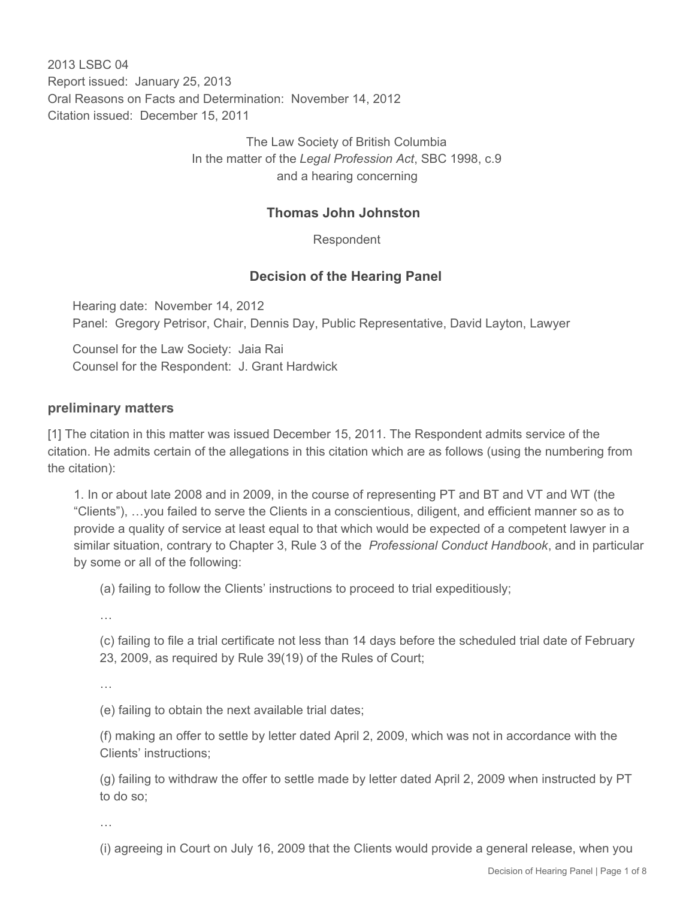2013 LSBC 04 Report issued: January 25, 2013 Oral Reasons on Facts and Determination: November 14, 2012 Citation issued: December 15, 2011

> The Law Society of British Columbia In the matter of the *Legal Profession Act*, SBC 1998, c.9 and a hearing concerning

### **Thomas John Johnston**

Respondent

## **Decision of the Hearing Panel**

Hearing date: November 14, 2012 Panel: Gregory Petrisor, Chair, Dennis Day, Public Representative, David Layton, Lawyer

Counsel for the Law Society: Jaia Rai Counsel for the Respondent: J. Grant Hardwick

### **preliminary matters**

[1] The citation in this matter was issued December 15, 2011. The Respondent admits service of the citation. He admits certain of the allegations in this citation which are as follows (using the numbering from the citation):

1. In or about late 2008 and in 2009, in the course of representing PT and BT and VT and WT (the "Clients"), …you failed to serve the Clients in a conscientious, diligent, and efficient manner so as to provide a quality of service at least equal to that which would be expected of a competent lawyer in a similar situation, contrary to Chapter 3, Rule 3 of the *Professional Conduct Handbook*, and in particular by some or all of the following:

(a) failing to follow the Clients' instructions to proceed to trial expeditiously;

…

(c) failing to file a trial certificate not less than 14 days before the scheduled trial date of February 23, 2009, as required by Rule 39(19) of the Rules of Court;

…

(e) failing to obtain the next available trial dates;

(f) making an offer to settle by letter dated April 2, 2009, which was not in accordance with the Clients' instructions;

(g) failing to withdraw the offer to settle made by letter dated April 2, 2009 when instructed by PT to do so;

…

(i) agreeing in Court on July 16, 2009 that the Clients would provide a general release, when you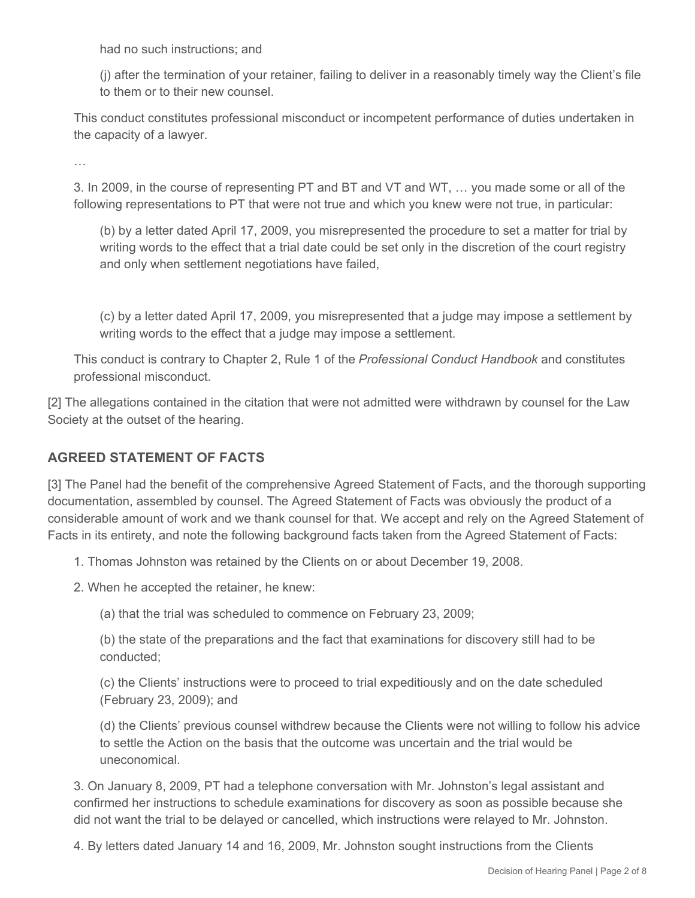had no such instructions; and

(j) after the termination of your retainer, failing to deliver in a reasonably timely way the Client's file to them or to their new counsel.

This conduct constitutes professional misconduct or incompetent performance of duties undertaken in the capacity of a lawyer.

…

3. In 2009, in the course of representing PT and BT and VT and WT, … you made some or all of the following representations to PT that were not true and which you knew were not true, in particular:

(b) by a letter dated April 17, 2009, you misrepresented the procedure to set a matter for trial by writing words to the effect that a trial date could be set only in the discretion of the court registry and only when settlement negotiations have failed,

(c) by a letter dated April 17, 2009, you misrepresented that a judge may impose a settlement by writing words to the effect that a judge may impose a settlement.

This conduct is contrary to Chapter 2, Rule 1 of the *Professional Conduct Handbook* and constitutes professional misconduct.

[2] The allegations contained in the citation that were not admitted were withdrawn by counsel for the Law Society at the outset of the hearing.

# **AGREED STATEMENT OF FACTS**

[3] The Panel had the benefit of the comprehensive Agreed Statement of Facts, and the thorough supporting documentation, assembled by counsel. The Agreed Statement of Facts was obviously the product of a considerable amount of work and we thank counsel for that. We accept and rely on the Agreed Statement of Facts in its entirety, and note the following background facts taken from the Agreed Statement of Facts:

1. Thomas Johnston was retained by the Clients on or about December 19, 2008.

2. When he accepted the retainer, he knew:

(a) that the trial was scheduled to commence on February 23, 2009;

(b) the state of the preparations and the fact that examinations for discovery still had to be conducted;

(c) the Clients' instructions were to proceed to trial expeditiously and on the date scheduled (February 23, 2009); and

(d) the Clients' previous counsel withdrew because the Clients were not willing to follow his advice to settle the Action on the basis that the outcome was uncertain and the trial would be uneconomical.

3. On January 8, 2009, PT had a telephone conversation with Mr. Johnston's legal assistant and confirmed her instructions to schedule examinations for discovery as soon as possible because she did not want the trial to be delayed or cancelled, which instructions were relayed to Mr. Johnston.

4. By letters dated January 14 and 16, 2009, Mr. Johnston sought instructions from the Clients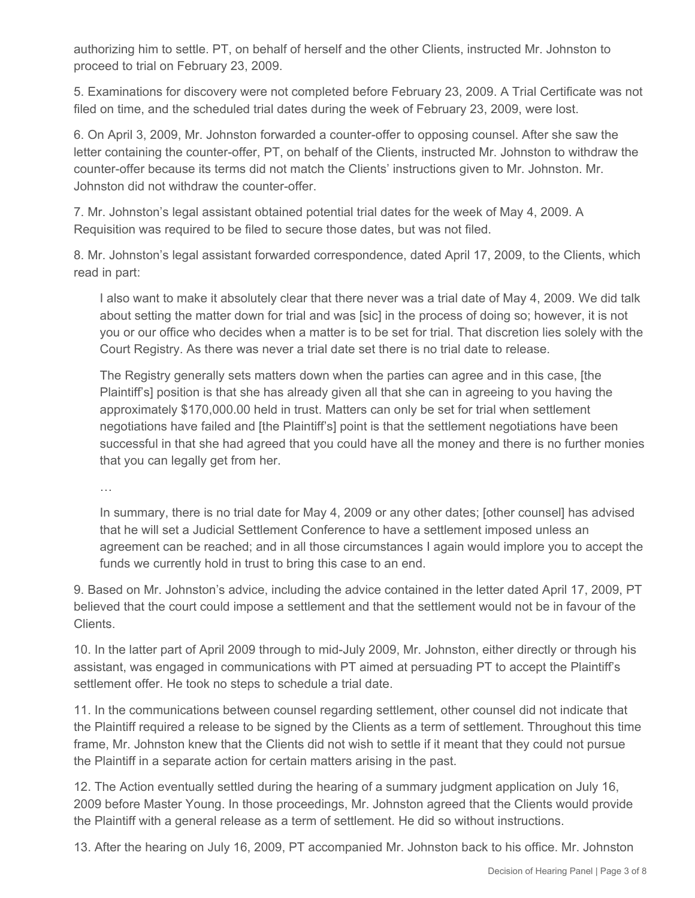authorizing him to settle. PT, on behalf of herself and the other Clients, instructed Mr. Johnston to proceed to trial on February 23, 2009.

5. Examinations for discovery were not completed before February 23, 2009. A Trial Certificate was not filed on time, and the scheduled trial dates during the week of February 23, 2009, were lost.

6. On April 3, 2009, Mr. Johnston forwarded a counter-offer to opposing counsel. After she saw the letter containing the counter-offer, PT, on behalf of the Clients, instructed Mr. Johnston to withdraw the counter-offer because its terms did not match the Clients' instructions given to Mr. Johnston. Mr. Johnston did not withdraw the counter-offer.

7. Mr. Johnston's legal assistant obtained potential trial dates for the week of May 4, 2009. A Requisition was required to be filed to secure those dates, but was not filed.

8. Mr. Johnston's legal assistant forwarded correspondence, dated April 17, 2009, to the Clients, which read in part:

I also want to make it absolutely clear that there never was a trial date of May 4, 2009. We did talk about setting the matter down for trial and was [sic] in the process of doing so; however, it is not you or our office who decides when a matter is to be set for trial. That discretion lies solely with the Court Registry. As there was never a trial date set there is no trial date to release.

The Registry generally sets matters down when the parties can agree and in this case, [the Plaintiff's] position is that she has already given all that she can in agreeing to you having the approximately \$170,000.00 held in trust. Matters can only be set for trial when settlement negotiations have failed and [the Plaintiff's] point is that the settlement negotiations have been successful in that she had agreed that you could have all the money and there is no further monies that you can legally get from her.

…

In summary, there is no trial date for May 4, 2009 or any other dates; [other counsel] has advised that he will set a Judicial Settlement Conference to have a settlement imposed unless an agreement can be reached; and in all those circumstances I again would implore you to accept the funds we currently hold in trust to bring this case to an end.

9. Based on Mr. Johnston's advice, including the advice contained in the letter dated April 17, 2009, PT believed that the court could impose a settlement and that the settlement would not be in favour of the Clients.

10. In the latter part of April 2009 through to mid-July 2009, Mr. Johnston, either directly or through his assistant, was engaged in communications with PT aimed at persuading PT to accept the Plaintiff's settlement offer. He took no steps to schedule a trial date.

11. In the communications between counsel regarding settlement, other counsel did not indicate that the Plaintiff required a release to be signed by the Clients as a term of settlement. Throughout this time frame, Mr. Johnston knew that the Clients did not wish to settle if it meant that they could not pursue the Plaintiff in a separate action for certain matters arising in the past.

12. The Action eventually settled during the hearing of a summary judgment application on July 16, 2009 before Master Young. In those proceedings, Mr. Johnston agreed that the Clients would provide the Plaintiff with a general release as a term of settlement. He did so without instructions.

13. After the hearing on July 16, 2009, PT accompanied Mr. Johnston back to his office. Mr. Johnston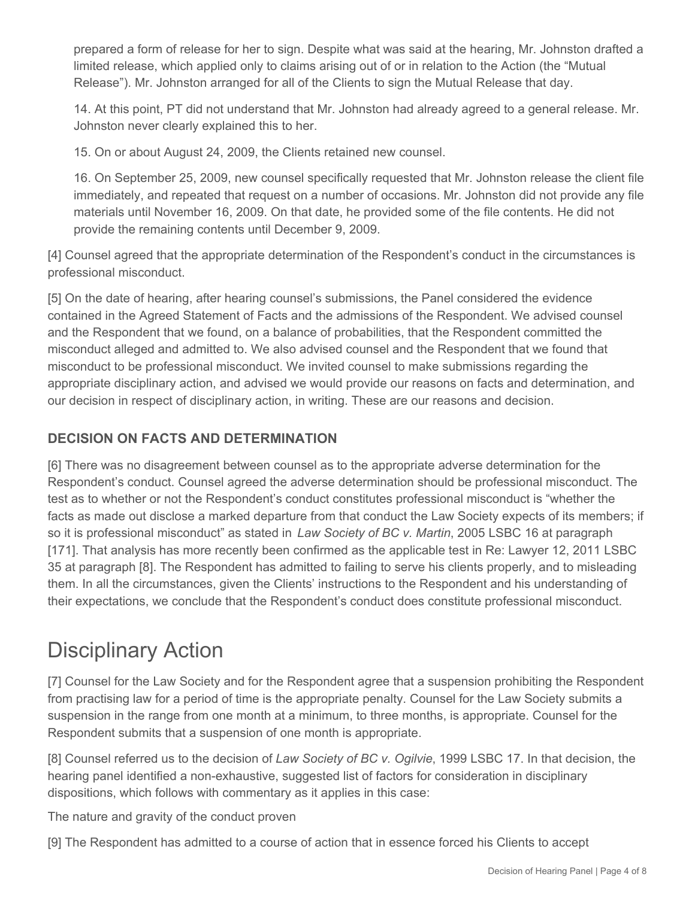prepared a form of release for her to sign. Despite what was said at the hearing, Mr. Johnston drafted a limited release, which applied only to claims arising out of or in relation to the Action (the "Mutual Release"). Mr. Johnston arranged for all of the Clients to sign the Mutual Release that day.

14. At this point, PT did not understand that Mr. Johnston had already agreed to a general release. Mr. Johnston never clearly explained this to her.

15. On or about August 24, 2009, the Clients retained new counsel.

16. On September 25, 2009, new counsel specifically requested that Mr. Johnston release the client file immediately, and repeated that request on a number of occasions. Mr. Johnston did not provide any file materials until November 16, 2009. On that date, he provided some of the file contents. He did not provide the remaining contents until December 9, 2009.

[4] Counsel agreed that the appropriate determination of the Respondent's conduct in the circumstances is professional misconduct.

[5] On the date of hearing, after hearing counsel's submissions, the Panel considered the evidence contained in the Agreed Statement of Facts and the admissions of the Respondent. We advised counsel and the Respondent that we found, on a balance of probabilities, that the Respondent committed the misconduct alleged and admitted to. We also advised counsel and the Respondent that we found that misconduct to be professional misconduct. We invited counsel to make submissions regarding the appropriate disciplinary action, and advised we would provide our reasons on facts and determination, and our decision in respect of disciplinary action, in writing. These are our reasons and decision.

## **DECISION ON FACTS AND DETERMINATION**

[6] There was no disagreement between counsel as to the appropriate adverse determination for the Respondent's conduct. Counsel agreed the adverse determination should be professional misconduct. The test as to whether or not the Respondent's conduct constitutes professional misconduct is "whether the facts as made out disclose a marked departure from that conduct the Law Society expects of its members; if so it is professional misconduct" as stated in *Law Society of BC v. Martin*, 2005 LSBC 16 at paragraph [171]. That analysis has more recently been confirmed as the applicable test in Re: Lawyer 12, 2011 LSBC 35 at paragraph [8]. The Respondent has admitted to failing to serve his clients properly, and to misleading them. In all the circumstances, given the Clients' instructions to the Respondent and his understanding of their expectations, we conclude that the Respondent's conduct does constitute professional misconduct.

# Disciplinary Action

[7] Counsel for the Law Society and for the Respondent agree that a suspension prohibiting the Respondent from practising law for a period of time is the appropriate penalty. Counsel for the Law Society submits a suspension in the range from one month at a minimum, to three months, is appropriate. Counsel for the Respondent submits that a suspension of one month is appropriate.

[8] Counsel referred us to the decision of *Law Society of BC v. Ogilvie*, 1999 LSBC 17. In that decision, the hearing panel identified a non-exhaustive, suggested list of factors for consideration in disciplinary dispositions, which follows with commentary as it applies in this case:

The nature and gravity of the conduct proven

[9] The Respondent has admitted to a course of action that in essence forced his Clients to accept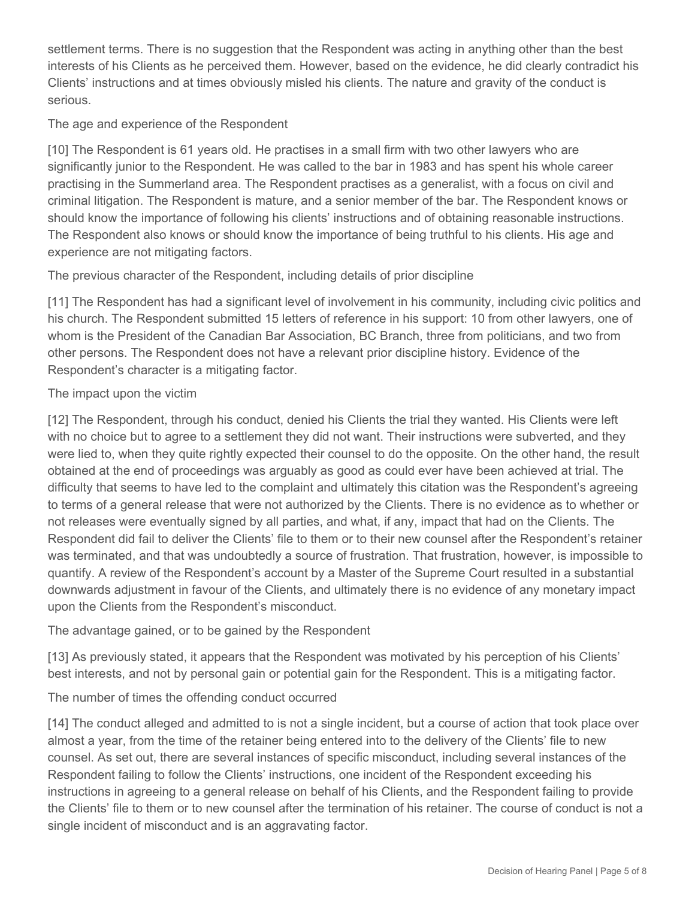settlement terms. There is no suggestion that the Respondent was acting in anything other than the best interests of his Clients as he perceived them. However, based on the evidence, he did clearly contradict his Clients' instructions and at times obviously misled his clients. The nature and gravity of the conduct is serious.

### The age and experience of the Respondent

[10] The Respondent is 61 years old. He practises in a small firm with two other lawyers who are significantly junior to the Respondent. He was called to the bar in 1983 and has spent his whole career practising in the Summerland area. The Respondent practises as a generalist, with a focus on civil and criminal litigation. The Respondent is mature, and a senior member of the bar. The Respondent knows or should know the importance of following his clients' instructions and of obtaining reasonable instructions. The Respondent also knows or should know the importance of being truthful to his clients. His age and experience are not mitigating factors.

The previous character of the Respondent, including details of prior discipline

[11] The Respondent has had a significant level of involvement in his community, including civic politics and his church. The Respondent submitted 15 letters of reference in his support: 10 from other lawyers, one of whom is the President of the Canadian Bar Association, BC Branch, three from politicians, and two from other persons. The Respondent does not have a relevant prior discipline history. Evidence of the Respondent's character is a mitigating factor.

### The impact upon the victim

[12] The Respondent, through his conduct, denied his Clients the trial they wanted. His Clients were left with no choice but to agree to a settlement they did not want. Their instructions were subverted, and they were lied to, when they quite rightly expected their counsel to do the opposite. On the other hand, the result obtained at the end of proceedings was arguably as good as could ever have been achieved at trial. The difficulty that seems to have led to the complaint and ultimately this citation was the Respondent's agreeing to terms of a general release that were not authorized by the Clients. There is no evidence as to whether or not releases were eventually signed by all parties, and what, if any, impact that had on the Clients. The Respondent did fail to deliver the Clients' file to them or to their new counsel after the Respondent's retainer was terminated, and that was undoubtedly a source of frustration. That frustration, however, is impossible to quantify. A review of the Respondent's account by a Master of the Supreme Court resulted in a substantial downwards adjustment in favour of the Clients, and ultimately there is no evidence of any monetary impact upon the Clients from the Respondent's misconduct.

The advantage gained, or to be gained by the Respondent

[13] As previously stated, it appears that the Respondent was motivated by his perception of his Clients' best interests, and not by personal gain or potential gain for the Respondent. This is a mitigating factor.

The number of times the offending conduct occurred

[14] The conduct alleged and admitted to is not a single incident, but a course of action that took place over almost a year, from the time of the retainer being entered into to the delivery of the Clients' file to new counsel. As set out, there are several instances of specific misconduct, including several instances of the Respondent failing to follow the Clients' instructions, one incident of the Respondent exceeding his instructions in agreeing to a general release on behalf of his Clients, and the Respondent failing to provide the Clients' file to them or to new counsel after the termination of his retainer. The course of conduct is not a single incident of misconduct and is an aggravating factor.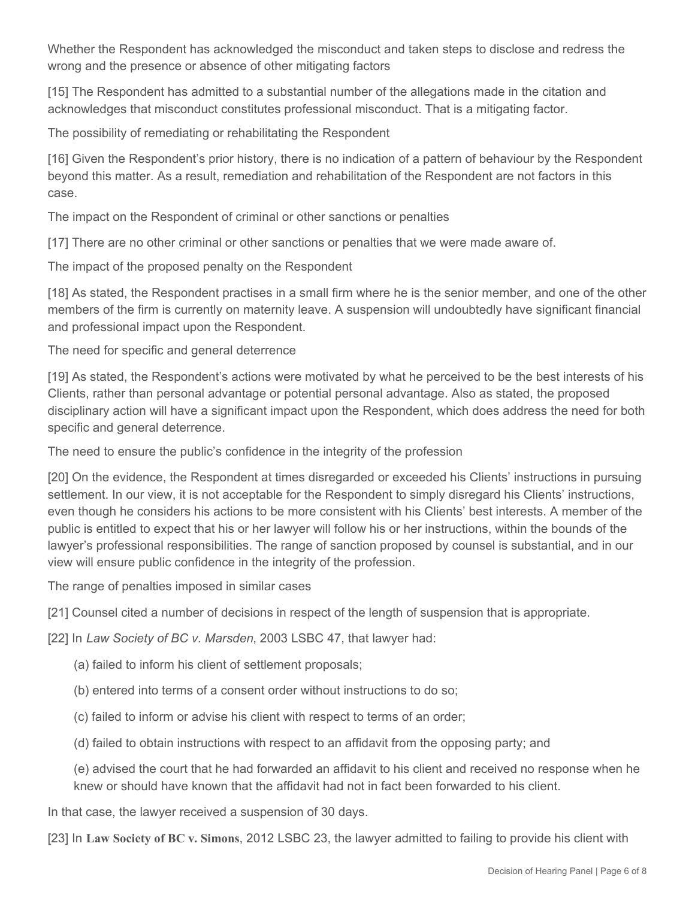Whether the Respondent has acknowledged the misconduct and taken steps to disclose and redress the wrong and the presence or absence of other mitigating factors

[15] The Respondent has admitted to a substantial number of the allegations made in the citation and acknowledges that misconduct constitutes professional misconduct. That is a mitigating factor.

The possibility of remediating or rehabilitating the Respondent

[16] Given the Respondent's prior history, there is no indication of a pattern of behaviour by the Respondent beyond this matter. As a result, remediation and rehabilitation of the Respondent are not factors in this case.

The impact on the Respondent of criminal or other sanctions or penalties

[17] There are no other criminal or other sanctions or penalties that we were made aware of.

The impact of the proposed penalty on the Respondent

[18] As stated, the Respondent practises in a small firm where he is the senior member, and one of the other members of the firm is currently on maternity leave. A suspension will undoubtedly have significant financial and professional impact upon the Respondent.

The need for specific and general deterrence

[19] As stated, the Respondent's actions were motivated by what he perceived to be the best interests of his Clients, rather than personal advantage or potential personal advantage. Also as stated, the proposed disciplinary action will have a significant impact upon the Respondent, which does address the need for both specific and general deterrence.

The need to ensure the public's confidence in the integrity of the profession

[20] On the evidence, the Respondent at times disregarded or exceeded his Clients' instructions in pursuing settlement. In our view, it is not acceptable for the Respondent to simply disregard his Clients' instructions, even though he considers his actions to be more consistent with his Clients' best interests. A member of the public is entitled to expect that his or her lawyer will follow his or her instructions, within the bounds of the lawyer's professional responsibilities. The range of sanction proposed by counsel is substantial, and in our view will ensure public confidence in the integrity of the profession.

The range of penalties imposed in similar cases

[21] Counsel cited a number of decisions in respect of the length of suspension that is appropriate.

[22] In *Law Society of BC v. Marsden*, 2003 LSBC 47, that lawyer had:

- (a) failed to inform his client of settlement proposals;
- (b) entered into terms of a consent order without instructions to do so;
- (c) failed to inform or advise his client with respect to terms of an order;
- (d) failed to obtain instructions with respect to an affidavit from the opposing party; and

(e) advised the court that he had forwarded an affidavit to his client and received no response when he knew or should have known that the affidavit had not in fact been forwarded to his client.

In that case, the lawyer received a suspension of 30 days.

[23] In **Law Society of BC v. Simons**, 2012 LSBC 23, the lawyer admitted to failing to provide his client with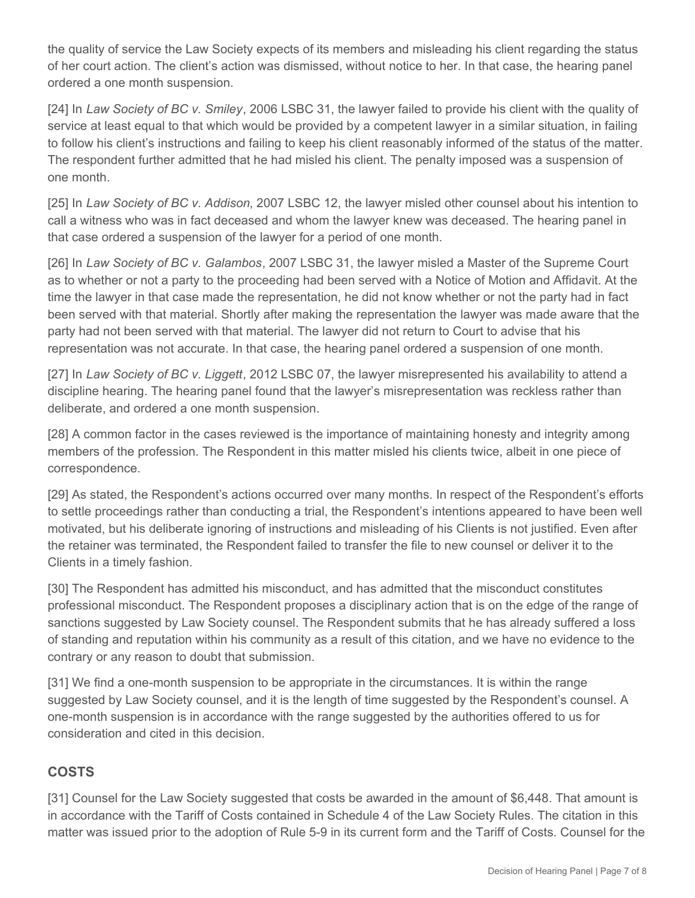the quality of service the Law Society expects of its members and misleading his client regarding the status of her court action. The client's action was dismissed, without notice to her. In that case, the hearing panel ordered a one month suspension.

[24] In *Law Society of BC v. Smiley*, 2006 LSBC 31, the lawyer failed to provide his client with the quality of service at least equal to that which would be provided by a competent lawyer in a similar situation, in failing to follow his client's instructions and failing to keep his client reasonably informed of the status of the matter. The respondent further admitted that he had misled his client. The penalty imposed was a suspension of one month.

[25] In *Law Society of BC v. Addison*, 2007 LSBC 12, the lawyer misled other counsel about his intention to call a witness who was in fact deceased and whom the lawyer knew was deceased. The hearing panel in that case ordered a suspension of the lawyer for a period of one month.

[26] In *Law Society of BC v. Galambos*, 2007 LSBC 31, the lawyer misled a Master of the Supreme Court as to whether or not a party to the proceeding had been served with a Notice of Motion and Affidavit. At the time the lawyer in that case made the representation, he did not know whether or not the party had in fact been served with that material. Shortly after making the representation the lawyer was made aware that the party had not been served with that material. The lawyer did not return to Court to advise that his representation was not accurate. In that case, the hearing panel ordered a suspension of one month.

[27] In *Law Society of BC v. Liggett*, 2012 LSBC 07, the lawyer misrepresented his availability to attend a discipline hearing. The hearing panel found that the lawyer's misrepresentation was reckless rather than deliberate, and ordered a one month suspension.

[28] A common factor in the cases reviewed is the importance of maintaining honesty and integrity among members of the profession. The Respondent in this matter misled his clients twice, albeit in one piece of correspondence.

[29] As stated, the Respondent's actions occurred over many months. In respect of the Respondent's efforts to settle proceedings rather than conducting a trial, the Respondent's intentions appeared to have been well motivated, but his deliberate ignoring of instructions and misleading of his Clients is not justified. Even after the retainer was terminated, the Respondent failed to transfer the file to new counsel or deliver it to the Clients in a timely fashion.

[30] The Respondent has admitted his misconduct, and has admitted that the misconduct constitutes professional misconduct. The Respondent proposes a disciplinary action that is on the edge of the range of sanctions suggested by Law Society counsel. The Respondent submits that he has already suffered a loss of standing and reputation within his community as a result of this citation, and we have no evidence to the contrary or any reason to doubt that submission.

[31] We find a one-month suspension to be appropriate in the circumstances. It is within the range suggested by Law Society counsel, and it is the length of time suggested by the Respondent's counsel. A one-month suspension is in accordance with the range suggested by the authorities offered to us for consideration and cited in this decision.

# **COSTS**

[31] Counsel for the Law Society suggested that costs be awarded in the amount of \$6,448. That amount is in accordance with the Tariff of Costs contained in Schedule 4 of the Law Society Rules. The citation in this matter was issued prior to the adoption of Rule 5-9 in its current form and the Tariff of Costs. Counsel for the